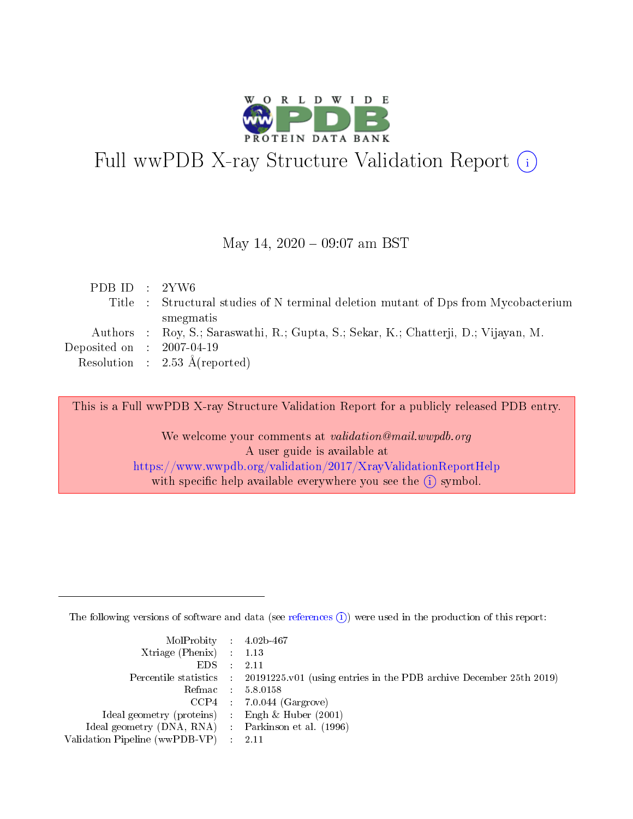

# Full wwPDB X-ray Structure Validation Report (i)

#### May 14,  $2020 - 09:07$  am BST

| PDBID : 2YW6                |                                                                                     |
|-----------------------------|-------------------------------------------------------------------------------------|
|                             | Title : Structural studies of N terminal deletion mutant of Dps from Mycobacterium  |
|                             | smegmatis                                                                           |
|                             | Authors : Roy, S.; Saraswathi, R.; Gupta, S.; Sekar, K.; Chatterji, D.; Vijayan, M. |
| Deposited on : $2007-04-19$ |                                                                                     |
|                             | Resolution : $2.53 \text{ Å}$ (reported)                                            |
|                             |                                                                                     |

This is a Full wwPDB X-ray Structure Validation Report for a publicly released PDB entry.

We welcome your comments at validation@mail.wwpdb.org A user guide is available at <https://www.wwpdb.org/validation/2017/XrayValidationReportHelp> with specific help available everywhere you see the  $(i)$  symbol.

The following versions of software and data (see [references](https://www.wwpdb.org/validation/2017/XrayValidationReportHelp#references)  $(i)$ ) were used in the production of this report:

| MolProbity : 4.02b-467                              |                                                                                                    |
|-----------------------------------------------------|----------------------------------------------------------------------------------------------------|
| Xtriage (Phenix) $: 1.13$                           |                                                                                                    |
| $EDS = 2.11$                                        |                                                                                                    |
|                                                     | Percentile statistics : $20191225 \times 01$ (using entries in the PDB archive December 25th 2019) |
|                                                     | Refmac : 5.8.0158                                                                                  |
|                                                     | $CCP4$ 7.0.044 (Gargrove)                                                                          |
| Ideal geometry (proteins) : Engh $\&$ Huber (2001)  |                                                                                                    |
| Ideal geometry (DNA, RNA) : Parkinson et al. (1996) |                                                                                                    |
| Validation Pipeline (wwPDB-VP) : 2.11               |                                                                                                    |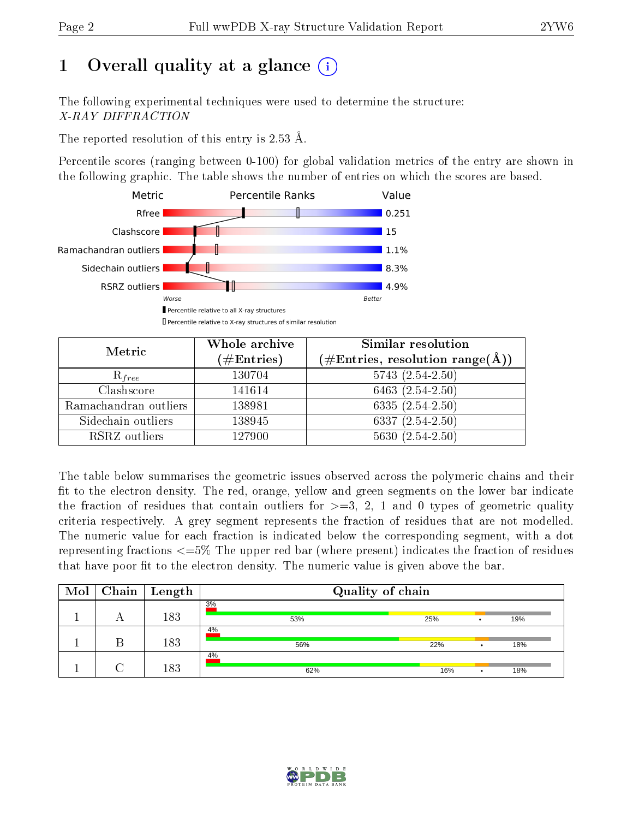## 1 [O](https://www.wwpdb.org/validation/2017/XrayValidationReportHelp#overall_quality)verall quality at a glance  $(i)$

The following experimental techniques were used to determine the structure: X-RAY DIFFRACTION

The reported resolution of this entry is 2.53 Å.

Percentile scores (ranging between 0-100) for global validation metrics of the entry are shown in the following graphic. The table shows the number of entries on which the scores are based.



| Metric                | Whole archive        | <b>Similar resolution</b>                                                |  |  |
|-----------------------|----------------------|--------------------------------------------------------------------------|--|--|
|                       | $(\#\text{Entries})$ | $(\#\text{Entries},\,\text{resolution}\,\,\text{range}(\textup{\AA})\,)$ |  |  |
| $R_{free}$            | 130704               | $5743(2.54-2.50)$                                                        |  |  |
| Clashscore            | 141614               | 6463 $(2.54-2.50)$                                                       |  |  |
| Ramachandran outliers | 138981               | $6335(2.54-2.50)$                                                        |  |  |
| Sidechain outliers    | 138945               | 6337 $(2.54 - 2.50)$                                                     |  |  |
| RSRZ outliers         | 127900               | $5630(2.54-2.50)$                                                        |  |  |

The table below summarises the geometric issues observed across the polymeric chains and their fit to the electron density. The red, orange, yellow and green segments on the lower bar indicate the fraction of residues that contain outliers for  $>=3, 2, 1$  and 0 types of geometric quality criteria respectively. A grey segment represents the fraction of residues that are not modelled. The numeric value for each fraction is indicated below the corresponding segment, with a dot representing fractions  $\epsilon=5\%$  The upper red bar (where present) indicates the fraction of residues that have poor fit to the electron density. The numeric value is given above the bar.

| Mol |   | $Chain$   Length | Quality of chain |     |   |     |
|-----|---|------------------|------------------|-----|---|-----|
|     | A | 183              | 3%<br>53%        | 25% |   | 19% |
|     |   | 183              | 4%<br>56%        | 22% |   | 18% |
|     |   | 183              | 4%<br>62%        | 16% | ٠ | 18% |

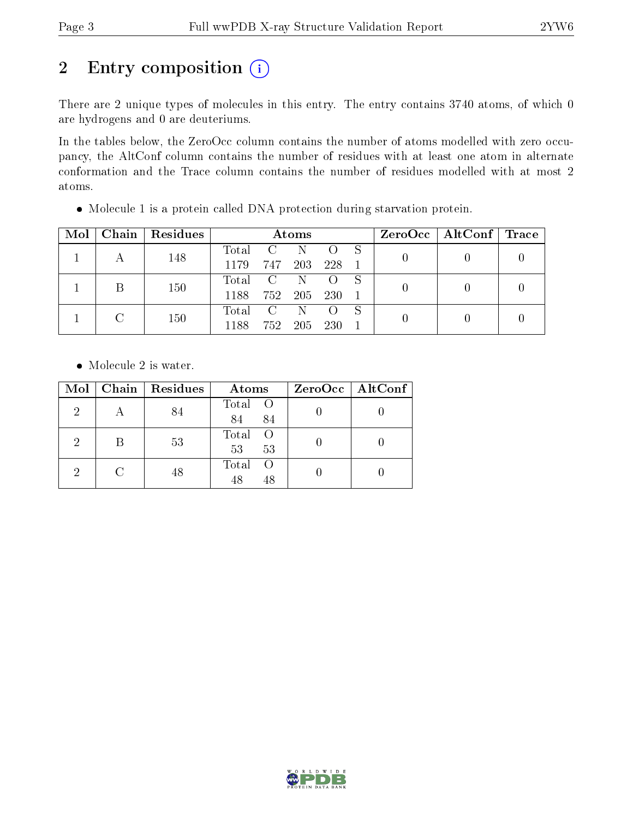## 2 Entry composition (i)

There are 2 unique types of molecules in this entry. The entry contains 3740 atoms, of which 0 are hydrogens and 0 are deuteriums.

In the tables below, the ZeroOcc column contains the number of atoms modelled with zero occupancy, the AltConf column contains the number of residues with at least one atom in alternate conformation and the Trace column contains the number of residues modelled with at most 2 atoms.

| Mol | Chain   Residues |       |                | Atoms |                  |  | $ZeroOcc \   \ AltConf \  $ | $\blacksquare$ Trace |
|-----|------------------|-------|----------------|-------|------------------|--|-----------------------------|----------------------|
|     | 148              | Total | $\mathbf{C}$   | N.    |                  |  |                             |                      |
|     |                  | 1179  | 747            | 203   | 228              |  |                             |                      |
|     | 150              | Total | $\overline{C}$ | N     |                  |  |                             |                      |
|     |                  | 1188  | 752            | -205  | <b>230</b>       |  |                             |                      |
|     | 150              | Total | $\mathcal{C}$  | -N    | $\left( \right)$ |  |                             |                      |
|     |                  | 1188  | 752            | 205   | <b>230</b>       |  |                             |                      |

Molecule 1 is a protein called DNA protection during starvation protein.

• Molecule 2 is water.

| Mol | Chain   Residues | Atoms                      | ZeroOcc   AltConf |
|-----|------------------|----------------------------|-------------------|
| 2   | 84               | Total O<br>84<br>84        |                   |
| 2   | 53               | Total<br>- O<br>53<br>53   |                   |
| 9   | 48               | Total<br>- ( )<br>48<br>48 |                   |

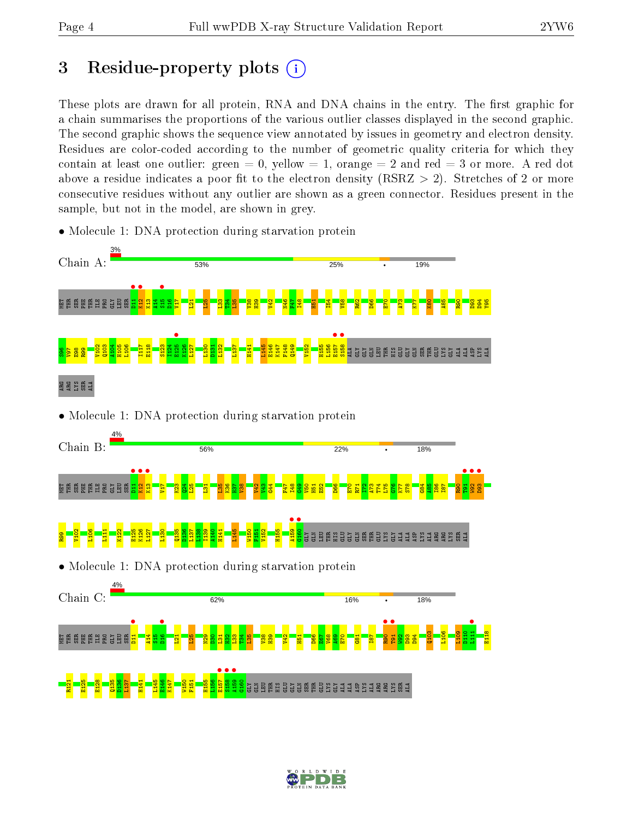## 3 Residue-property plots  $(i)$

These plots are drawn for all protein, RNA and DNA chains in the entry. The first graphic for a chain summarises the proportions of the various outlier classes displayed in the second graphic. The second graphic shows the sequence view annotated by issues in geometry and electron density. Residues are color-coded according to the number of geometric quality criteria for which they contain at least one outlier: green  $= 0$ , yellow  $= 1$ , orange  $= 2$  and red  $= 3$  or more. A red dot above a residue indicates a poor fit to the electron density (RSRZ  $> 2$ ). Stretches of 2 or more consecutive residues without any outlier are shown as a green connector. Residues present in the sample, but not in the model, are shown in grey.



• Molecule 1: DNA protection during starvation protein

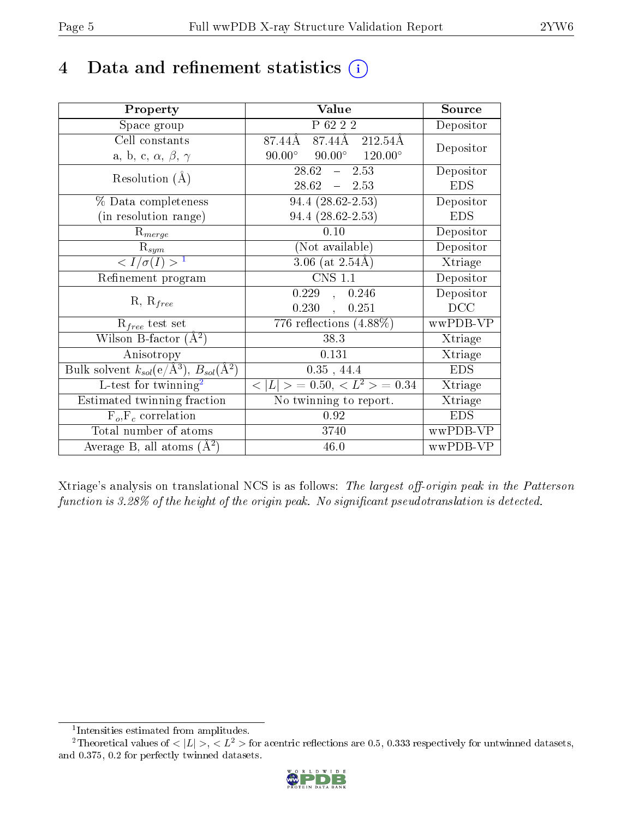## 4 Data and refinement statistics  $(i)$

| Property                                                             | Value                                                                   | Source     |
|----------------------------------------------------------------------|-------------------------------------------------------------------------|------------|
| Space group                                                          | P 62 2 2                                                                | Depositor  |
| Cell constants                                                       | $\overline{87.44\mathrm{A}}\quad 87.44\mathrm{A}\quad 212.54\mathrm{A}$ | Depositor  |
| a, b, c, $\alpha$ , $\beta$ , $\gamma$                               | $90.00^{\circ}$ $90.00^{\circ}$ $120.00^{\circ}$                        |            |
| Resolution $(A)$                                                     | $28.62 - 2.53$                                                          | Depositor  |
|                                                                      | $28.62 - 2.53$                                                          | <b>EDS</b> |
| % Data completeness                                                  | $94.4(28.62-2.53)$                                                      | Depositor  |
| (in resolution range)                                                | $94.4(28.62-2.53)$                                                      | <b>EDS</b> |
| $R_{merge}$                                                          | 0.10                                                                    | Depositor  |
| $\mathrm{R}_{sym}$                                                   | (Not available)                                                         | Depositor  |
| $\langle I/\sigma(I) \rangle^{-1}$                                   | $3.06$ (at $2.54\text{\AA}$ )                                           | Xtriage    |
| Refinement program                                                   | <b>CNS 1.1</b>                                                          | Depositor  |
|                                                                      | 0.229, 0.246                                                            | Depositor  |
| $R, R_{free}$                                                        | 0.251<br>0.230,                                                         | DCC        |
| $R_{free}$ test set                                                  | 776 reflections $(4.88\%)$                                              | wwPDB-VP   |
| Wilson B-factor $(A^2)$                                              | 38.3                                                                    | Xtriage    |
| Anisotropy                                                           | 0.131                                                                   | Xtriage    |
| Bulk solvent $k_{sol}(e/\mathring{A}^3)$ , $B_{sol}(\mathring{A}^2)$ | $0.35$ , 44.4                                                           | <b>EDS</b> |
| L-test for twinning <sup>2</sup>                                     | $< L >$ = 0.50, $< L2$ > = 0.34                                         | Xtriage    |
| Estimated twinning fraction                                          | No twinning to report.                                                  | Xtriage    |
| $\overline{F_o, F_c}$ correlation                                    | 0.92                                                                    | <b>EDS</b> |
| Total number of atoms                                                | 3740                                                                    | wwPDB-VP   |
| Average B, all atoms $(A^2)$                                         | 46.0                                                                    | wwPDB-VP   |

Xtriage's analysis on translational NCS is as follows: The largest off-origin peak in the Patterson function is  $3.28\%$  of the height of the origin peak. No significant pseudotranslation is detected.

<sup>&</sup>lt;sup>2</sup>Theoretical values of  $\langle |L| \rangle$ ,  $\langle L^2 \rangle$  for acentric reflections are 0.5, 0.333 respectively for untwinned datasets, and 0.375, 0.2 for perfectly twinned datasets.



<span id="page-4-1"></span><span id="page-4-0"></span><sup>1</sup> Intensities estimated from amplitudes.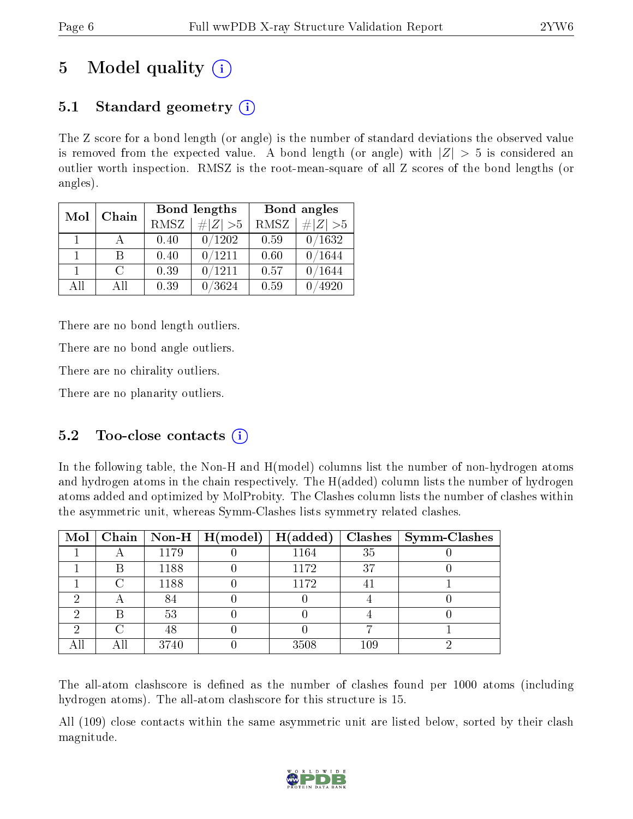## 5 Model quality  $(i)$

## 5.1 Standard geometry  $(i)$

The Z score for a bond length (or angle) is the number of standard deviations the observed value is removed from the expected value. A bond length (or angle) with  $|Z| > 5$  is considered an outlier worth inspection. RMSZ is the root-mean-square of all Z scores of the bond lengths (or angles).

| Mol | Chain  |      | Bond lengths | Bond angles |                 |
|-----|--------|------|--------------|-------------|-----------------|
|     |        | RMSZ | $\# Z  > 5$  | RMSZ        | $\ Z\  > 5$     |
| 1.  |        | 0.40 | 0/1202       | 0.59        | 0/1632          |
| 1.  | В      | 0.40 | 0/1211       | 0.60        | /1644           |
| 1.  | $\cap$ | 0.39 | 0/1211       | 0.57        | $^{\prime}1644$ |
| AĦ  | All    | 0.39 | /3624        | 0.59        | 4920            |

There are no bond length outliers.

There are no bond angle outliers.

There are no chirality outliers.

There are no planarity outliers.

### 5.2 Too-close contacts (i)

In the following table, the Non-H and H(model) columns list the number of non-hydrogen atoms and hydrogen atoms in the chain respectively. The H(added) column lists the number of hydrogen atoms added and optimized by MolProbity. The Clashes column lists the number of clashes within the asymmetric unit, whereas Symm-Clashes lists symmetry related clashes.

|     |     |      | Mol   Chain   Non-H   H(model) | H(added) | Clashes | Symm-Clashes |
|-----|-----|------|--------------------------------|----------|---------|--------------|
|     |     | 1179 |                                | 1164     | 35      |              |
|     | В   | 1188 |                                | 1172     | 37      |              |
|     |     | 1188 |                                | 1172     | 41      |              |
|     |     | 84   |                                |          |         |              |
|     | В   | 53   |                                |          |         |              |
| റ   |     | 48   |                                |          |         |              |
| All | All | 3740 |                                | 3508     | 109     |              |

The all-atom clashscore is defined as the number of clashes found per 1000 atoms (including hydrogen atoms). The all-atom clashscore for this structure is 15.

All (109) close contacts within the same asymmetric unit are listed below, sorted by their clash magnitude.

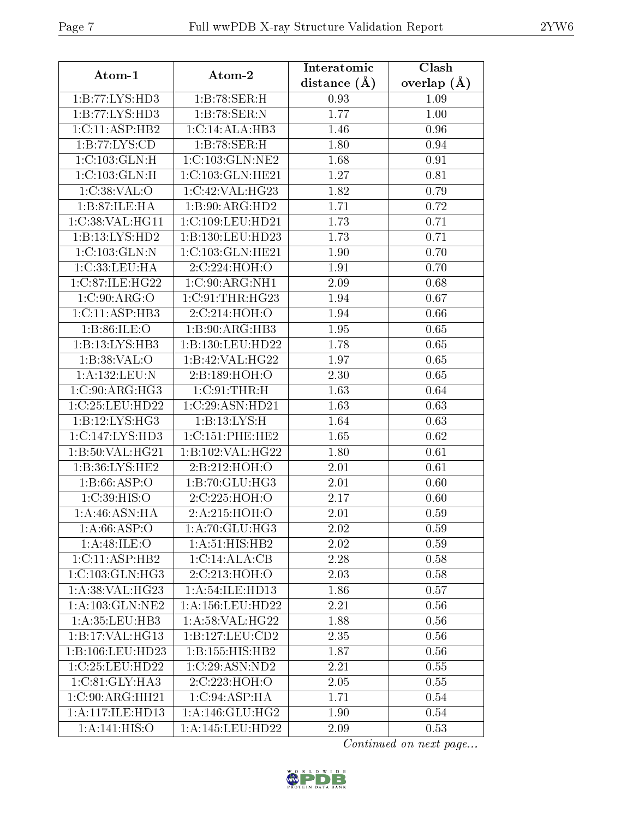| Atom-1              | Atom-2                     | Interatomic    | Clash         |
|---------------------|----------------------------|----------------|---------------|
|                     |                            | distance $(A)$ | overlap $(A)$ |
| 1:B:77:LYS:HD3      | 1:B:78:SER:H               | 0.93           | 1.09          |
| 1:B:77:LYS:HD3      | 1:B:78:SER:N               | 1.77           | 1.00          |
| 1:C:11:ASP:HB2      | 1:C:14:ALA:HB3             | 1.46           | 0.96          |
| 1:B:77:LYS:CD       | 1:B:78:SER:H               | 1.80           | 0.94          |
| 1:C:103:GLN:H       | 1:C:103:GLN:NE2            | 1.68           | 0.91          |
| 1:C:103:GLN:H       | 1:C:103:GLN:HE21           | 1.27           | 0.81          |
| 1:C:38:VAL:O        | 1:C:42:VAL:HG23            | 1.82           | 0.79          |
| 1:B:87:ILE:HA       | 1:B:90:ARG:HD2             | 1.71           | 0.72          |
| 1:C:38:VAL:HG11     | 1:C:109:LEU:HD21           | 1.73           | 0.71          |
| 1:B:13:LYS:HD2      | 1:B:130:LEU:HD23           | 1.73           | 0.71          |
| 1:C:103:GLN:N       | 1:C:103:GLN:HE21           | 1.90           | 0.70          |
| 1:C:33:LEU:HA       | 2:C:224:HOH:O              | 1.91           | 0.70          |
| 1:C:87:ILE:HG22     | 1:C:90:ARG:NH1             | 2.09           | 0.68          |
| 1:C:90:ARG:O        | 1:C:91:THR:HG23            | 1.94           | 0.67          |
| 1: C: 11: ASP: HB3  | $2:C:214:\overline{HOH:O}$ | 1.94           | 0.66          |
| 1:B:86:ILE:O        | 1:B:90:ARG:HB3             | 1.95           | 0.65          |
| 1:B:13:LYS:HB3      | 1:B:130:LEU:HD22           | 1.78           | 0.65          |
| 1: B: 38: VAL: O    | 1:B:42:VAL:HG22            | 1.97           | 0.65          |
| 1:A:132:LEU:N       | 2:B:189:HOH:O              | 2.30           | 0.65          |
| 1:C:90:ARG:HG3      | 1:C:91:THR:H               | 1.63           | 0.64          |
| 1:C:25:LEU:HD22     | 1:C:29:ASN:HD21            | 1.63           | 0.63          |
| 1: B: 12: LYS: HG3  | 1:B:13:LYS:H               | 1.64           | 0.63          |
| 1:C:147:LYS:HD3     | 1:C:151:PHE:HE2            | 1.65           | 0.62          |
| 1:B:50:VAL:HG21     | 1:B:102:VAL:HG22           | 1.80           | 0.61          |
| 1:B:36:LYS:HE2      | 2:Bi:212:HOH:O             | 2.01           | 0.61          |
| 1: B:66:ASP:O       | 1:B:70:GLU:HG3             | 2.01           | 0.60          |
| 1:C:39:HIS:O        | 2:C:225:HOH:O              | 2.17           | 0.60          |
| 1:A:46:ASN:HA       | 2:A:215:HOH:O              | 2.01           | 0.59          |
| 1: A:66: ASP:O      | 1:A:70:GLU:HG3             | 2.02           | 0.59          |
| 1:A:48:ILE:O        | 1: A:51: HIS: HB2          | 2.02           | 0.59          |
| 1:C:11:ASP:HB2      | 1:C:14:ALA:CB              | 2.28           | 0.58          |
| 1:C:103:GLN:HG3     | 2:C:213:HOH:O              | 2.03           | 0.58          |
| 1: A:38: VAL:HG23   | 1: A:54: ILE:HD13          | 1.86           | 0.57          |
| 1:A:103:GLN:NE2     | 1: A: 156: LEU: HD22       | 2.21           | 0.56          |
| 1: A:35:LEU:HB3     | 1:A:58:VAL:HG22            | 1.88           | 0.56          |
| 1:B:17:VAL:HG13     | 1:B:127:LEU:CD2            | 2.35           | 0.56          |
| 1:B:106:LEU:HD23    | 1:B:155:HIS:HB2            | 1.87           | 0.56          |
| 1:C:25:LEU:HD22     | 1:C:29:ASN:ND2             | 2.21           | 0.55          |
| 1: C:81: GLY:HA3    | 2:C:223:HOH:O              | 2.05           | 0.55          |
| 1:C:90:ARG:HH21     | 1:C:94:ASP:HA              | 1.71           | 0.54          |
| 1: A:117: ILE: HD13 | 1: A:146: GLU: HG2         | 1.90           | 0.54          |
| 1:A:141:HIS:O       | 1:A:145:LEU:HD22           | 2.09           | 0.53          |

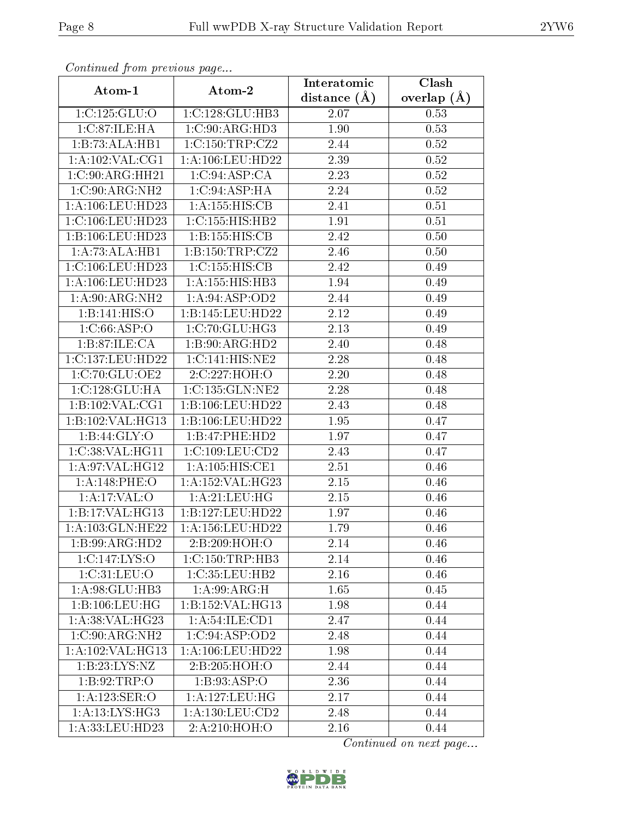| Communica from previous page        |                           | Interatomic    | Clash         |
|-------------------------------------|---------------------------|----------------|---------------|
| Atom-1                              | Atom-2                    | distance $(A)$ | overlap $(A)$ |
| 1:C:125:GLU:O                       | 1:C:128:GLU:HB3           | 2.07           | 0.53          |
| 1:C:87:ILE:HA                       | 1:C:90:ARG:HD3            | 1.90           | 0.53          |
| 1:B:73:ALA:HB1                      | 1:C:150:TRP:CZ2           | 2.44           | 0.52          |
| 1:A:102:VAL:CG1                     | 1:A:106:LEU:HD22          | 2.39           | 0.52          |
| $1:C:90:A\overline{\text{RG:HH}21}$ | 1:C:94:ASP:CA             | 2.23           | 0.52          |
| 1:C:90:ARG:NH2                      | 1:C:94:ASP:HA             | 2.24           | 0.52          |
| 1: A: 106: LEU: HD23                | 1:A:155:HIS:CB            | 2.41           | 0.51          |
| 1:C:106:LEU:HD23                    | 1:C:155:HIS:HB2           | 1.91           | 0.51          |
| 1:B:106:LEU:HD23                    | 1:B:155:HIS:CB            | 2.42           | 0.50          |
| 1:A:73:ALA:HB1                      | 1: B: 150: TRP: CZ2       | 2.46           | 0.50          |
| 1:C:106:LEU:HD23                    | 1:C:155:HIS:CB            | 2.42           | 0.49          |
| 1:A:106:LEU:HD23                    | 1:A:155:HIS:HBB3          | 1.94           | 0.49          |
| 1: A:90: ARG: NH2                   | 1:A:94:ASP:OD2            | 2.44           | 0.49          |
| 1:B:141:HIS:O                       | 1:B:145:LEU:HD22          | 2.12           | 0.49          |
| 1:C:66:ASP:O                        | 1:C:70:GLU:HG3            | 2.13           | 0.49          |
| 1:B:87:ILE:CA                       | 1:B:90:ARG:HD2            | 2.40           | 0.48          |
| 1:C:137:LEU:HD22                    | 1:C:141:HIS:NE2           | 2.28           | 0.48          |
| 1:C:70:GLU:OE2                      | 2:C:227:HOH:O             | 2.20           | 0.48          |
| 1:C:128:GLU:HA                      | 1:C:135:GLN:NE2           | 2.28           | 0.48          |
| 1:B:102:VAL:CG1                     | 1:B:106:LEU:HD22          | 2.43           | 0.48          |
| 1:B:102:VAL:HG13                    | 1:B:106:LEU:HD22          | 1.95           | 0.47          |
| 1: B:44: GLY:O                      | 1:B:47:PHE:HD2            | 1.97           | 0.47          |
| 1:C:38:VAL:HG11                     | 1:C:109:LEU:CD2           | 2.43           | 0.47          |
| 1: A:97: VAL:HG12                   | 1: A: 105: HIS: CE1       | 2.51           | 0.46          |
| 1:A:148:PHE:O                       | 1:A:152:VAL:HG23          | 2.15           | 0.46          |
| 1:A:17:VAL:O                        | 1:A:21:LEU:HG             | 2.15           | 0.46          |
| 1:B:17:VAL:HG13                     | 1:B:127:LEU:HD22          | 1.97           | 0.46          |
| 1: A: 103: GLN: HE22                | 1: A: 156: LEU: HD22      | 1.79           | 0.46          |
| 1:B:99:ARG:HD2                      | 2:B:209:HOH:O             | 2.14           | 0.46          |
| 1:C:147:LYS:O                       | 1: C: 150: TRP: HB3       | 2.14           | 0.46          |
| 1:C:31:LEU:O                        | 1:C:35:LEU:HB2            | 2.16           | 0.46          |
| 1: A:98: GLU:HB3                    | $1:A:99:ARG:\overline{H}$ | 1.65           | 0.45          |
| 1:B:106:LEU:HG                      | 1:B:152:VAL:HG13          | 1.98           | 0.44          |
| 1:A:38:VAL:HG23                     | 1:A:54:ILE:CD1            | 2.47           | 0.44          |
| 1:C:90:ARG:NH2                      | 1:C:94:ASP:OD2            | 2.48           | 0.44          |
| 1:A:102:VAL:HG13                    | 1:A:106:LEU:HD22          | 1.98           | 0.44          |
| 1:B:23:LYS:NZ                       | 2:B:205:HOH:O             | 2.44           | 0.44          |
| 1:B:92:TRP:O                        | 1: B:93: ASP:O            | 2.36           | 0.44          |
| 1:A:123:SER:O                       | 1:A:127:LEU:HG            | 2.17           | 0.44          |
| 1:A:13:LYS:HG3                      | 1: A: 130: LEU: CD2       | 2.48           | 0.44          |
| 1:A:33:LEU:HD23                     | 2:A:210:HOH:O             | 2.16           | 0.44          |

Continued from previous page.

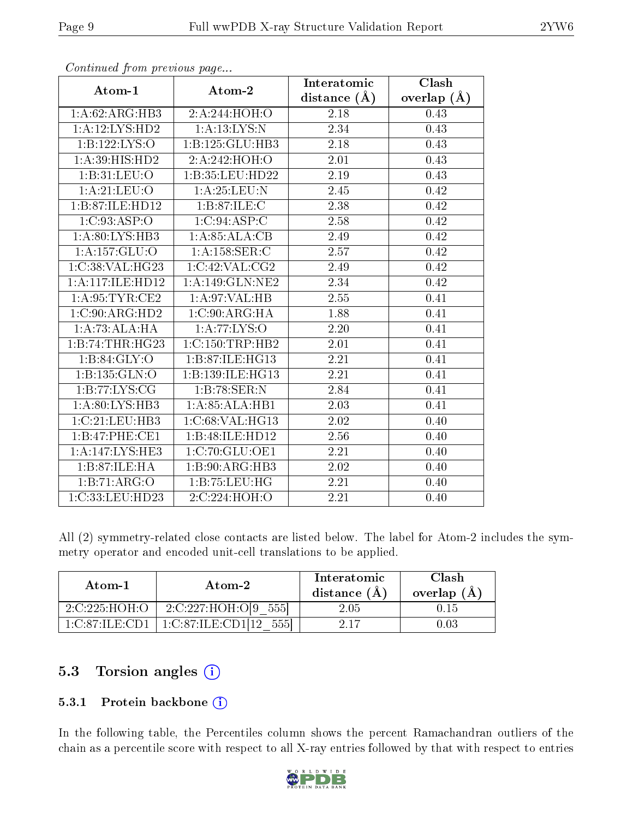|                   |                     | Interatomic       | Clash         |
|-------------------|---------------------|-------------------|---------------|
| Atom-1            | Atom-2              | distance $(A)$    | overlap $(A)$ |
| 1:A:62:ARG:HB3    | 2:A:244:HOH:O       | 2.18              | 0.43          |
| 1:A:12:LYS:HD2    | 1: A: 13: LYS: N    | 2.34              | 0.43          |
| 1:B:122:LYS:O     | 1:B:125:GLU:HB3     | 2.18              | 0.43          |
| 1:A:39:HIS:HD2    | 2: A:242: HOH: O    | 2.01              | 0.43          |
| 1:B:31:LEU:O      | 1:B:35:LEU:HD22     | 2.19              | 0.43          |
| 1: A:21: LEU:O    | 1:A:25:LEU:N        | 2.45              | 0.42          |
| 1:B:87:ILE:HD12   | 1:B:87:ILE:C        | 2.38              | 0.42          |
| 1:C:93:ASP:O      | 1:C:94:ASP:C        | 2.58              | 0.42          |
| 1: A:80: LYS: HB3 | 1:A:85:ALA:CB       | 2.49              | 0.42          |
| 1:A:157:GLU:O     | 1: A: 158: SER: C   | 2.57              | 0.42          |
| 1:C:38:VAL:HG23   | 1:C:42:VAL:CG2      | 2.49              | 0.42          |
| 1:A:117:ILE:HD12  | 1:A:149:GLN:NE2     | 2.34              | 0.42          |
| 1: A:95:TYR:CE2   | 1: A:97: VAL:HB     | $2.55\,$          | 0.41          |
| 1:C:90:ARG:HD2    | 1:C:90:ARG:HA       | 1.88              | 0.41          |
| 1:A:73:ALA:HA     | 1: A:77: LYS:O      | 2.20              | 0.41          |
| 1:B:74:THR:HG23   | 1: C: 150: TRP: HB2 | 2.01              | 0.41          |
| 1: B:84: GLY:O    | 1:B:87:ILE:HG13     | 2.21              | 0.41          |
| 1:B:135:GLN:O     | 1:B:139:ILE:HG13    | 2.21              | 0.41          |
| 1:B:77:LYS:CG     | 1:B:78:SER:N        | 2.84              | 0.41          |
| 1: A:80: LYS: HB3 | 1:A:85:ALA:HB1      | 2.03              | 0.41          |
| 1:C:21:LEU:HB3    | 1:C:68:VAL:HG13     | 2.02              | 0.40          |
| 1:B:47:PHE:CE1    | 1:B:48:ILE:HD12     | 2.56              | 0.40          |
| 1:A:147:LYS:HE3   | 1:C:70:GLU:OE1      | 2.21              | 0.40          |
| 1:B:87:ILE:HA     | 1:B:90:ARG:HB3      | 2.02              | 0.40          |
| 1:B:71:ARG:O      | 1:B:75:LEU:HG       | $\overline{2}.21$ | 0.40          |
| 1:C:33:LEU:HD23   | 2:C:224:HOH:O       | $\overline{2.21}$ | 0.40          |

Continued from previous page...

All (2) symmetry-related close contacts are listed below. The label for Atom-2 includes the symmetry operator and encoded unit-cell translations to be applied.

| Atom-1                               | Atom-2                  | Interatomic<br>distance (A | Clash<br>overlap $(A)$ |
|--------------------------------------|-------------------------|----------------------------|------------------------|
| 2:C:225:HOH:O                        | 2:C:227:HOH:O[9]<br>555 | 2.05                       | 0. L5                  |
| $1 \cdot C \cdot 87 \cdot H \cdot C$ | 1:C:87:ILE:CD           |                            |                        |

### 5.3 Torsion angles (i)

#### 5.3.1 Protein backbone (i)

In the following table, the Percentiles column shows the percent Ramachandran outliers of the chain as a percentile score with respect to all X-ray entries followed by that with respect to entries

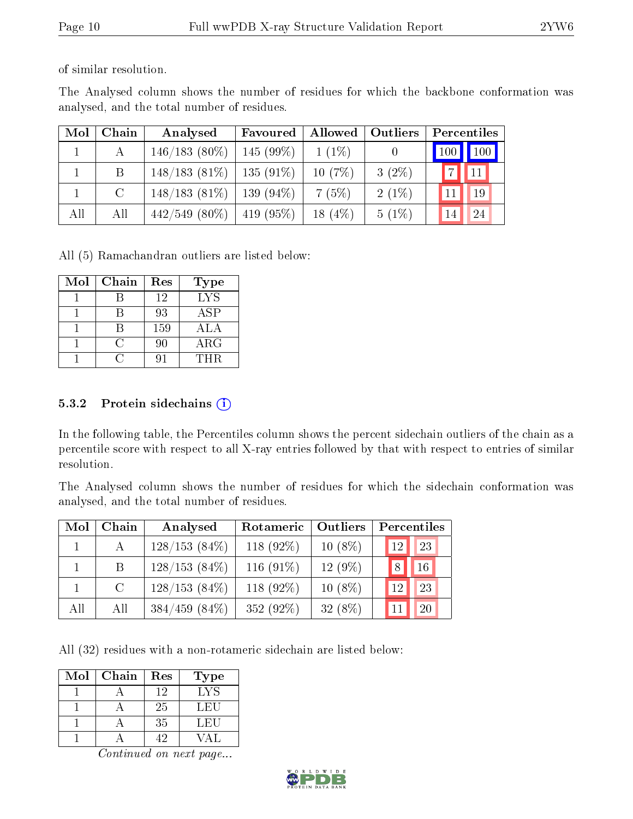of similar resolution.

The Analysed column shows the number of residues for which the backbone conformation was analysed, and the total number of residues.

| Mol | Chain         | Analysed         | Favoured     | Allowed    | Outliers | Percentiles                     |
|-----|---------------|------------------|--------------|------------|----------|---------------------------------|
|     |               | $146/183(80\%)$  | $145(99\%)$  | $1(1\%)$   |          | $\vert$ 100 $\vert$ 100 $\vert$ |
|     | B             | $148/183(81\%)$  | $135(91\%)$  | 10(7%)     | $3(2\%)$ | 11                              |
|     | $\mathcal{C}$ | $148/183(81\%)$  | $139(94\%)$  | 7(5%)      | $2(1\%)$ | 19                              |
| All | All           | $442/549$ (80\%) | 419 $(95\%)$ | 18 $(4\%)$ | $5(1\%)$ | 24<br>14                        |

All (5) Ramachandran outliers are listed below:

| Mol | Chain | Res | <b>Type</b> |
|-----|-------|-----|-------------|
|     |       | 12  | <b>LYS</b>  |
|     |       | 93  | ASP         |
|     |       | 159 | <b>ALA</b>  |
|     |       | 90  | $\rm{ARG}$  |
|     |       |     | THR.        |

#### 5.3.2 Protein sidechains  $(i)$

In the following table, the Percentiles column shows the percent sidechain outliers of the chain as a percentile score with respect to all X-ray entries followed by that with respect to entries of similar resolution.

The Analysed column shows the number of residues for which the sidechain conformation was analysed, and the total number of residues.

| Mol | Chain   | Analysed         | Rotameric    | Outliers  |    | Percentiles |
|-----|---------|------------------|--------------|-----------|----|-------------|
|     | А       | $128/153(84\%)$  | 118 $(92\%)$ | $10(8\%)$ | 12 | 23          |
|     | B       | $128/153(84\%)$  | 116 $(91\%)$ | $12(9\%)$ | 8  | 16          |
|     | $\rm C$ | $128/153(84\%)$  | 118 (92%)    | $10(8\%)$ | 12 | 23          |
| All | All     | $384/459$ (84\%) | 352 (92%)    | $32(8\%)$ |    | 20          |

All (32) residues with a non-rotameric sidechain are listed below:

| Mol | Chain | Res | Type |
|-----|-------|-----|------|
|     |       | 12  | LYS  |
|     |       | 25  | LEU  |
|     |       | 35  | LEU  |
|     |       |     |      |

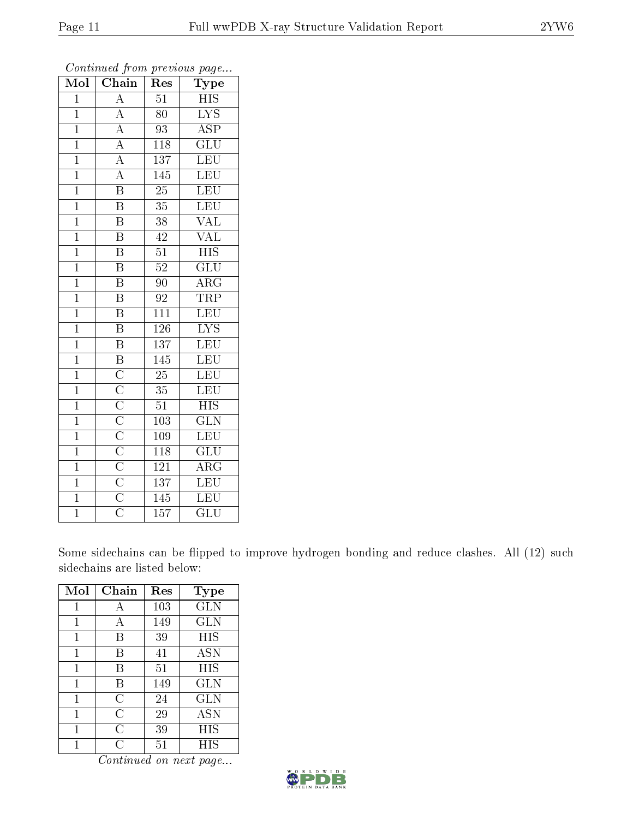| Mol            | Chain                                                                                                                                                                                                                                   | Res              | Type                    |
|----------------|-----------------------------------------------------------------------------------------------------------------------------------------------------------------------------------------------------------------------------------------|------------------|-------------------------|
| $\overline{1}$ | $\overline{A}$                                                                                                                                                                                                                          | $\overline{51}$  | <b>HIS</b>              |
| $\overline{1}$ | $\overline{A}$                                                                                                                                                                                                                          | 80               | $\overline{\text{LYS}}$ |
| $\overline{1}$ | $\overline{A}$                                                                                                                                                                                                                          | $\overline{93}$  | $\overline{\text{ASP}}$ |
| $\overline{1}$ |                                                                                                                                                                                                                                         | 118              | $\overline{\text{GLU}}$ |
| $\overline{1}$ | $\frac{\overline{A}}{A}$                                                                                                                                                                                                                | $\overline{137}$ | $\overline{\text{LEU}}$ |
| $\mathbf{1}$   | $\overline{A}$                                                                                                                                                                                                                          | 145              | <b>LEU</b>              |
| $\mathbf{1}$   | $\overline{\mathrm{B}}$                                                                                                                                                                                                                 | $\overline{25}$  | LEU                     |
| $\overline{1}$ | $\overline{\mathbf{B}}$                                                                                                                                                                                                                 | $\overline{35}$  | LEU                     |
| $\overline{1}$ | $\overline{\mathrm{B}}$                                                                                                                                                                                                                 | 38               | $\overline{\text{VAL}}$ |
| $\overline{1}$ | $\overline{\mathrm{B}}$                                                                                                                                                                                                                 | 42               | $\rm \sqrt{AL}$         |
| $\overline{1}$ | $\overline{\mathrm{B}}$                                                                                                                                                                                                                 | $\overline{51}$  | $\overline{HIS}$        |
| $\overline{1}$ | $\overline{\mathrm{B}}$                                                                                                                                                                                                                 | $\overline{52}$  | $\overline{{\rm GLU}}$  |
| $\overline{1}$ | $\overline{\mathrm{B}}$                                                                                                                                                                                                                 | 90               | $\overline{\rm{ARG}}$   |
| $\overline{1}$ | $\overline{\mathrm{B}}$                                                                                                                                                                                                                 | 92               | TRP                     |
| $\overline{1}$ | $\overline{\text{B}}$                                                                                                                                                                                                                   | $\overline{111}$ | LEU                     |
| $\overline{1}$ | $\overline{\text{B}}$                                                                                                                                                                                                                   | $\overline{126}$ | $\overline{\text{LYS}}$ |
| $\mathbf{1}$   | $\overline{\mathrm{B}}$                                                                                                                                                                                                                 | $\overline{137}$ | $\overline{\text{LEU}}$ |
| $\mathbf{1}$   | $\overline{\mathbf{B}}$                                                                                                                                                                                                                 | $\overline{145}$ | LEU                     |
| $\overline{1}$ |                                                                                                                                                                                                                                         | $\overline{25}$  | $\overline{\text{LEU}}$ |
| $\mathbf{1}$   |                                                                                                                                                                                                                                         | $35\,$           | $\overline{\text{LEU}}$ |
| $\overline{1}$ |                                                                                                                                                                                                                                         | $\overline{51}$  | $\overline{HIS}$        |
| $\overline{1}$ | $\overline{\text{C}}\,\overline{\text{C}}\,\overline{\text{C}}\,\overline{\text{C}}\,\overline{\text{C}}\,\overline{\text{C}}\,\overline{\text{C}}\,\overline{\text{C}}\,\overline{\text{C}}\,\overline{\text{C}}\,\overline{\text{C}}$ | 103              | $\overline{\text{GLN}}$ |
| $\overline{1}$ |                                                                                                                                                                                                                                         | 109              | $\overline{\text{LEU}}$ |
| $\overline{1}$ |                                                                                                                                                                                                                                         | $\overline{118}$ | $\overline{{\rm GLU}}$  |
| $\mathbf{1}$   |                                                                                                                                                                                                                                         | 121              | $\rm{ARG}$              |
| $\mathbf{1}$   |                                                                                                                                                                                                                                         | 137              | $\overline{\text{LEU}}$ |
| $\overline{1}$ |                                                                                                                                                                                                                                         | 145              | $\overline{\text{LEU}}$ |
| $\overline{1}$ |                                                                                                                                                                                                                                         | $\overline{157}$ | $\overline{{\rm GLU}}$  |

Continued from previous page...

Some sidechains can be flipped to improve hydrogen bonding and reduce clashes. All (12) such sidechains are listed below:

| Mol | Chain | Res    | <b>Type</b> |
|-----|-------|--------|-------------|
|     | А     | 103    | <b>GLN</b>  |
| 1   | А     | 149    | <b>GLN</b>  |
| 1   | B     | 39     | HIS         |
| 1   | В     | 41     | <b>ASN</b>  |
| 1   | В     | 51     | HIS         |
| 1   | В     | 149    | <b>GLN</b>  |
| 1   | C     | 24     | <b>GLN</b>  |
| 1   | С     | 29     | <b>ASN</b>  |
| 1   | C     | 39     | HIS         |
|     | . ا   | $51\,$ | HIS         |

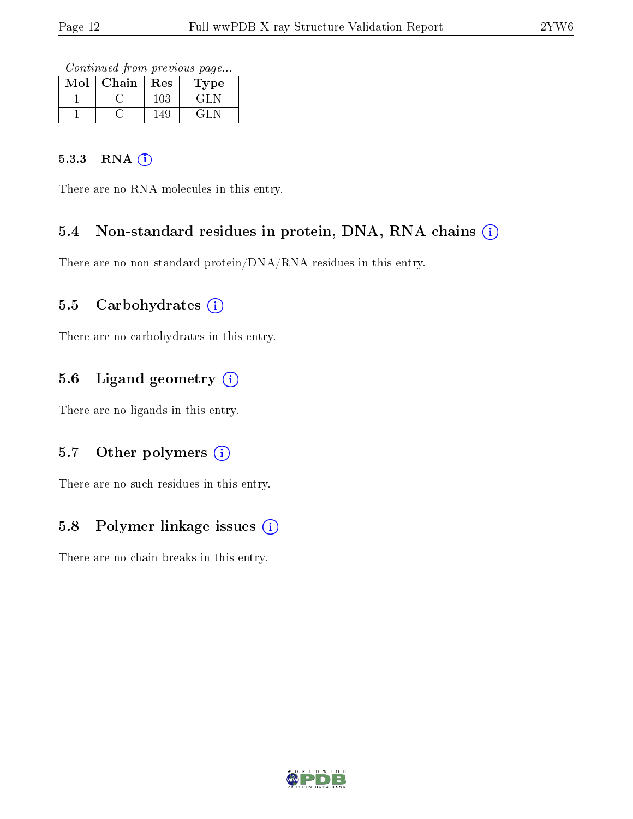Continued from previous page...

| Mol | Chain | Res | Type |
|-----|-------|-----|------|
|     |       | 103 | GLN  |
|     |       | 149 | GLN  |

#### 5.3.3 RNA [O](https://www.wwpdb.org/validation/2017/XrayValidationReportHelp#rna)i

There are no RNA molecules in this entry.

### 5.4 Non-standard residues in protein, DNA, RNA chains (i)

There are no non-standard protein/DNA/RNA residues in this entry.

#### 5.5 Carbohydrates  $(i)$

There are no carbohydrates in this entry.

## 5.6 Ligand geometry (i)

There are no ligands in this entry.

#### 5.7 [O](https://www.wwpdb.org/validation/2017/XrayValidationReportHelp#nonstandard_residues_and_ligands)ther polymers (i)

There are no such residues in this entry.

### 5.8 Polymer linkage issues (i)

There are no chain breaks in this entry.

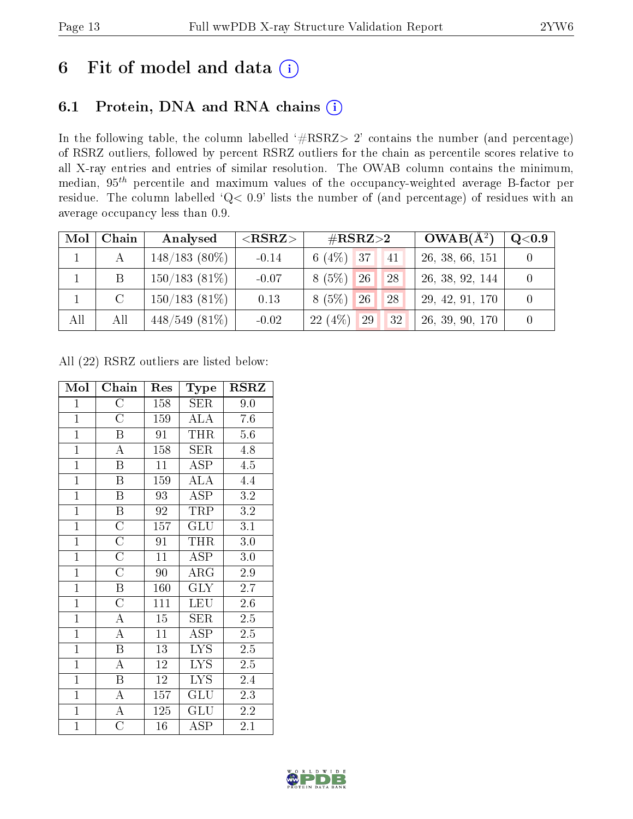## 6 Fit of model and data  $(i)$

## 6.1 Protein, DNA and RNA chains  $(i)$

In the following table, the column labelled  $#RSRZ> 2'$  contains the number (and percentage) of RSRZ outliers, followed by percent RSRZ outliers for the chain as percentile scores relative to all X-ray entries and entries of similar resolution. The OWAB column contains the minimum, median,  $95<sup>th</sup>$  percentile and maximum values of the occupancy-weighted average B-factor per residue. The column labelled ' $Q< 0.9$ ' lists the number of (and percentage) of residues with an average occupancy less than 0.9.

| Mol | Chain         | Analysed        | ${ <\hspace{-1.5pt}{\mathrm{RSRZ}} \hspace{-1.5pt}>}$ | $\#\text{RSRZ}\text{>2}$        | $OWAB(A^2)$     | $Q<$ 0.9 |
|-----|---------------|-----------------|-------------------------------------------------------|---------------------------------|-----------------|----------|
|     |               | $148/183(80\%)$ | $-0.14$                                               | 6 (4\%) 37<br>41                | 26, 38, 66, 151 |          |
|     | B             | $150/183(81\%)$ | $-0.07$                                               | $8(5\%)$<br><sup>26</sup><br>28 | 26, 38, 92, 144 |          |
|     | $\mathcal{C}$ | $150/183(81\%)$ | 0.13                                                  | 8 (5%)<br>$\sqrt{26}$<br>28     | 29, 42, 91, 170 |          |
| All | All           | $448/549(81\%)$ | $-0.02$                                               | $(4\%)$<br>29<br>32<br>22       | 26, 39, 90, 170 |          |

All (22) RSRZ outliers are listed below:

| Mol            | Chain                   | Res             | Type                      | <b>RSRZ</b>       |
|----------------|-------------------------|-----------------|---------------------------|-------------------|
| $\overline{1}$ | $\mathcal C$            | 158             | SER                       | 9.0               |
| $\overline{1}$ | $\overline{\rm C}$      | 159             | <b>ALA</b>                | 7.6               |
| $\overline{1}$ | $\boldsymbol{B}$        | 91              | <b>THR</b>                | $5.6\,$           |
| $\overline{1}$ | $\overline{\rm A}$      | 158             | <b>SER</b>                | 4.8               |
| $\mathbf{1}$   | $\boldsymbol{B}$        | 11              | $\overline{\text{ASP}}$   | 4.5               |
| $\overline{1}$ | $\overline{\mathrm{B}}$ | 159             | $\overline{\rm ALA}$      | 4.4               |
| $\overline{1}$ | $\overline{\mathrm{B}}$ | 93              | <b>ASP</b>                | $3.2\,$           |
| $\overline{1}$ | $\overline{B}$          | 92              | TRP                       | 3.2               |
| $\overline{1}$ | $\overline{\rm C}$      | 157             | GLU                       | $\overline{3.1}$  |
| $\overline{1}$ | $\overline{\text{C}}$   | 91              | <b>THR</b>                | 3.0               |
| $\overline{1}$ | $\overline{\text{C}}$   | $\overline{11}$ | $\overline{\rm ASP}$      | 3.0               |
| $\overline{1}$ | $\overline{C}$          | 90              | ${\rm ARG}$               | 2.9               |
| $\mathbf{1}$   | $\, {\bf B}$            | 160             | GLY                       | 2.7               |
| $\mathbf{1}$   | $\overline{\rm C}$      | 111             | LEU                       | 2.6               |
| $\overline{1}$ | $\overline{\rm A}$      | $15\,$          | <b>SER</b>                | 2.5               |
| $\overline{1}$ | $\overline{A}$          | $\overline{11}$ | $\overline{\text{ASP}}$   | $2.5\overline{)}$ |
| $\overline{1}$ | $\overline{\mathrm{B}}$ | 13              | LYS.                      | 2.5               |
| $\overline{1}$ | $\overline{\rm A}$      | $\overline{12}$ | $\overline{\text{LYS}}$   | $\overline{2.5}$  |
| $\overline{1}$ | $\overline{B}$          | 12              | LYS.                      | 2.4               |
| $\overline{1}$ | $\overline{\rm A}$      | 157             | GLU                       | 2.3               |
| $\overline{1}$ | $\overline{A}$          | 125             | $\overline{\mathrm{GLU}}$ | 2.2               |
| $\mathbf{1}$   | $\overline{C}$          | 16              | $\operatorname{ASP}$      | $2.1\,$           |